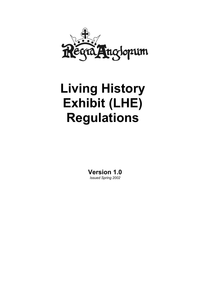

# **Living History Exhibit (LHE) Regulations**

**Version 1.0**  *Issued Spring 2002*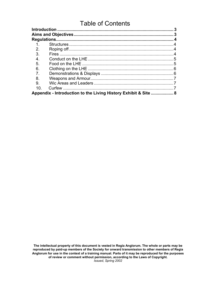# Table of Contents

| 1.                                                              |  |  |  |
|-----------------------------------------------------------------|--|--|--|
| 2 <sub>1</sub>                                                  |  |  |  |
| 3.                                                              |  |  |  |
| $\overline{4}$ .                                                |  |  |  |
| 5.                                                              |  |  |  |
| 6.                                                              |  |  |  |
| 7.                                                              |  |  |  |
| 8.                                                              |  |  |  |
| 9.                                                              |  |  |  |
| 10 <sup>1</sup>                                                 |  |  |  |
| Appendix - Introduction to the Living History Exhibit & Site  8 |  |  |  |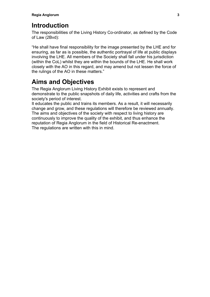# <span id="page-2-0"></span>**Introduction**

The responsibilities of the Living History Co-ordinator, as defined by the Code of Law (2Bvd):

"He shall have final responsibility for the image presented by the LHE and for ensuring, as far as is possible, the authentic portrayal of life at public displays involving the LHE. All members of the Society shall fall under his jurisdiction (within the CoL) whilst they are within the bounds of the LHE. He shall work closely with the AO in this regard, and may amend but not lessen the force of the rulings of the AO in these matters."

# **Aims and Objectives**

The Regia Anglorum Living History Exhibit exists to represent and demonstrate to the public snapshots of daily life, activities and crafts from the society's period of interest.

It educates the public and trains its members. As a result, it will necessarily change and grow, and these regulations will therefore be reviewed annually. The aims and objectives of the society with respect to living history are continuously to improve the quality of the exhibit, and thus enhance the reputation of Regia Anglorum in the field of Historical Re-enactment. The regulations are written with this in mind.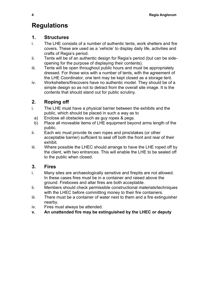# <span id="page-3-0"></span>**Regulations**

#### **1. Structures**

- i. The LHE consists of a number of authentic tents, work shelters and fire covers. These are used as a 'vehicle' to display daily life, activities and crafts of Regia's period.
- ii. Tents will be of an authentic design for Regia's period (but can be sideopening for the purpose of displaying their contents).
- iii. Tents will be open throughout public hours and must be appropriately dressed. For those wics with a number of tents, with the agreement of the LHE Coordinator, one tent may be kept closed as a storage tent.
- iv. Workshelters/firecovers have no authentic model. They should be of a simple design so as not to detract from the overall site image. It is the contents that should stand out for public scrutiny.

## **2. Roping off**

- i. The LHE must have a physical barrier between the exhibits and the public, which should be placed in such a way as to
- a) Enclose all obstacles such as guy ropes & pegs.
- b) Place all moveable items of LHE equipment beyond arms length of the public.
- ii. Each wic must provide its own ropes and pins/stakes (or other acceptable barrier) sufficient to seal off both the front and rear of their exhibit.
- iii. Where possible the LHEC should arrange to have the LHE roped off by the client, with two entrances. This will enable the LHE to be sealed off to the public when closed.

## **3. Fires**

- i. Many sites are archaeologically sensitive and firepits are not allowed. In these cases fires must be in a container and raised above the ground. Fireboxes and altar fires are both acceptable.
- ii. Members should check permissible constructional materials/techniques with the LHEC before committing money to their fire containers.
- iii. There must be a container of water next to them and a fire extinguisher nearby.
- iv. Fires must always be attended.
- **v. An unattended fire may be extinguished by the LHEC or deputy**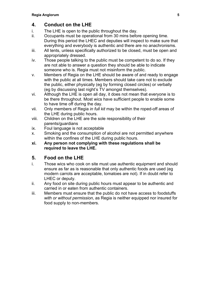## <span id="page-4-0"></span>**4. Conduct on the LHE**

- i. The LHE is open to the public throughout the day.
- ii. Occupants must be operational from 30 mins before opening time. During this period the LHEC and deputies will inspect to make sure that everything and everybody is authentic and there are no anachronisms.
- iii. All tents, unless specifically authorized to be closed, must be open and appropriately dressed.
- iv. Those people talking to the public must be competent to do so. If they are not able to answer a question they should be able to indicate someone who is. Regia must not misinform the public.
- v. Members of Regia on the LHE should be aware of and ready to engage with the public at all times. Members should take care not to exclude the public, either physically (eg by forming closed circles) or verbally (eg by discussing last night's TV amongst themselves).
- vi. Although the LHE is open all day, it does not mean that everyone is to be there throughout. Most wics have sufficient people to enable some to have time off during the day.
- vii. Only members of Regia *in full kit* may be within the roped-off areas of the LHE during public hours.
- viii. Children on the LHE are the sole responsibility of their parents/guardians
- ix. Foul language is not acceptable
- x. Smoking and the consumption of alcohol are not permitted anywhere within the confines of the LHE during public hours.
- **xi. Any person not complying with these regulations shall be required to leave the LHE.**

## **5. Food on the LHE**

- i. Those wics who cook on site must use authentic equipment and should ensure as far as is reasonable that only authentic foods are used (eg modern carrots are acceptable, tomatoes are not). If in doubt refer to LHEC or deputy.
- ii. Any food on site during public hours must appear to be authentic and carried in or eaten from authentic containers.
- iii. Members must ensure that the public do not have access to foodstuffs *with or without permission*, as Regia is neither equipped nor insured for food supply to non-members.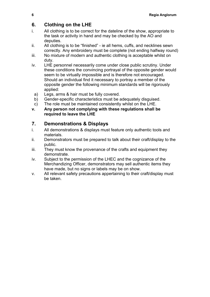## <span id="page-5-0"></span>**6. Clothing on the LHE**

- i. All clothing is to be correct for the dateline of the show, appropriate to the task or activity in hand and may be checked by the AO and deputies.
- ii. All clothing is to be "finished" ie all hems, cuffs, and necklines sewn correctly. Any embroidery must be complete (not ending halfway round)
- iii. No mixture of modern and authentic clothing is acceptable whilst on duty.
- iv. LHE personnel necessarily come under close public scrutiny. Under these conditions the convincing portrayal of the opposite gender would seem to be virtually impossible and is therefore not encouraged. Should an individual find it necessary to portray a member of the opposite gender the following minimum standards will be rigorously applied:
	- a) Legs, arms & hair must be fully covered.
	- b) Gender-specific characteristics must be adequately disguised.
- c) The role must be maintained consistently whilst on the LHE.

#### **v. Any person not complying with these regulations shall be required to leave the LHE**

### **7. Demonstrations & Displays**

- i. All demonstrations & displays must feature only authentic tools and materials.
- ii. Demonstrators must be prepared to talk about their craft/display to the public.
- iii. They must know the provenance of the crafts and equipment they demonstrate.
- iv. Subject to the permission of the LHEC and the cognizance of the Merchandizing Officer, demonstrators may sell authentic items they have made, but no signs or labels may be on show.
- v. All relevant safety precautions appertaining to their craft/display must be taken.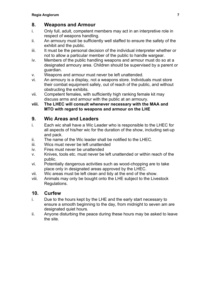#### <span id="page-6-0"></span>**8. Weapons and Armour**

- i. Only full, adult, competent members may act in an interpretive role in respect of weapons handling.
- ii. An armoury must be sufficiently well staffed to ensure the safety of the exhibit and the public.
- iii. It must be the personal decision of the individual interpreter whether or not to allow a particular member of the public to handle wargear.
- iv. Members of the public handling weapons and armour must do so at a designated armoury area. Children should be supervised by a parent or guardian.
- v. Weapons and armour must never be left unattended.
- vi. An armoury is a display, not a weapons store. Individuals must store their combat equipment safely, out of reach of the public, and without obstructing the exhibits.
- vii. Competent females, with sufficiently high ranking female kit may discuss arms and armour with the public at an armoury.
- **viii. The LHEC will consult whenever necessary with the MAA and MTO with regard to weapons and armour on the LHE**

#### **9. Wic Areas and Leaders**

- i. Each wic shall have a Wic Leader who is responsible to the LHEC for all aspects of his/her wic for the duration of the show, including set-up and pack.
- ii. The name of the Wic leader shall be notified to the LHEC.
- iii. Wics must never be left unattended
- iv. Fires must never be unattended
- v. Knives, tools etc. must never be left unattended or within reach of the public.
- vi. Potentially dangerous activities such as wood-chopping are to take place only in designated areas approved by the LHEC.
- vii. Wic areas must be left clean and tidy at the end of the show.
- viii. Animals may only be bought onto the LHE subject to the Livestock Regulations.

#### **10. Curfew**

- i. Due to the hours kept by the LHE and the early start necessary to ensure a smooth beginning to the day, from midnight to seven am are designated quiet hours.
- ii. Anyone disturbing the peace during these hours may be asked to leave the site.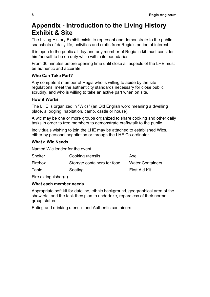# <span id="page-7-0"></span>**Appendix - Introduction to the Living History Exhibit & Site**

The Living History Exhibit exists to represent and demonstrate to the public snapshots of daily life, activities and crafts from Regia's period of interest.

It is open to the public all day and any member of Regia in kit must consider him/herself to be on duty while within its boundaries.

From 30 minutes before opening time until close all aspects of the LHE must be authentic and accurate.

#### **Who Can Take Part?**

Any competent member of Regia who is willing to abide by the site regulations, meet the authenticity standards necessary for close public scrutiny, and who is willing to take an active part when on site.

#### **How it Works**

The LHE is organized in "Wics" (an Old English word meaning a dwelling place, a lodging, habitation, camp, castle or house).

A wic may be one or more groups organized to share cooking and other daily tasks in order to free members to demonstrate crafts/talk to the public.

Individuals wishing to join the LHE may be attached to established Wics, either by personal negotiation or through the LHE Co-ordinator.

#### **What a Wic Needs**

Named Wic leader for the event

| <b>Shelter</b> | Cooking utensils            | Axe                     |
|----------------|-----------------------------|-------------------------|
| Firebox        | Storage containers for food | <b>Water Containers</b> |
| Table          | Seating                     | First Aid Kit           |

Fire extinguisher(s)

#### **What each member needs**

Appropriate soft kit for dateline, ethnic background, geographical area of the show etc. and the task they plan to undertake, regardless of their normal group status.

Eating and drinking utensils and Authentic containers